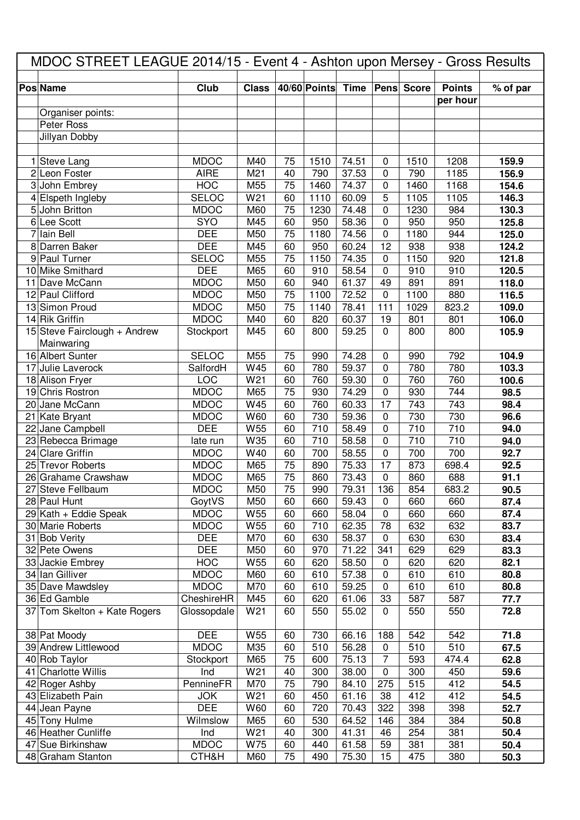| MDOC STREET LEAGUE 2014/15 - Event 4 - Ashton upon Mersey - Gross Results |                           |              |          |              |                |                  |              |                           |              |
|---------------------------------------------------------------------------|---------------------------|--------------|----------|--------------|----------------|------------------|--------------|---------------------------|--------------|
| <b>Pos Name</b>                                                           | Club                      | <b>Class</b> |          | 40/60 Points | Time           | Pens             | <b>Score</b> | <b>Points</b><br>per hour | % of par     |
| Organiser points:                                                         |                           |              |          |              |                |                  |              |                           |              |
| Peter Ross                                                                |                           |              |          |              |                |                  |              |                           |              |
| Jillyan Dobby                                                             |                           |              |          |              |                |                  |              |                           |              |
|                                                                           |                           |              |          |              |                |                  |              |                           |              |
| 1 Steve Lang                                                              | <b>MDOC</b>               | M40          | 75       | 1510         | 74.51          | 0                | 1510         | 1208                      | 159.9        |
| 2 Leon Foster                                                             | <b>AIRE</b>               | M21          | 40       | 790          | 37.53          | $\mathbf 0$      | 790          | 1185                      | 156.9        |
| 3 John Embrey                                                             | <b>HOC</b>                | M55          | 75       | 1460         | 74.37          | $\mathbf 0$      | 1460         | 1168                      | 154.6        |
| 4 Elspeth Ingleby                                                         | <b>SELOC</b>              | W21          | 60       | 1110         | 60.09          | 5                | 1105         | 1105                      | 146.3        |
| 5 John Britton                                                            | <b>MDOC</b>               | M60          | 75       | 1230         | 74.48          | $\mathbf 0$      | 1230         | 984                       | 130.3        |
| 6 Lee Scott                                                               | SYO                       | M45          | 60       | 950          | 58.36          | $\mathbf 0$      | 950          | 950                       | 125.8        |
| 7 Iain Bell                                                               | <b>DEE</b>                | M50          | 75       | 1180         | 74.56          | $\mathbf 0$      | 1180         | 944                       | 125.0        |
| 8 Darren Baker                                                            | <b>DEE</b>                | M45          | 60       | 950          | 60.24          | 12               | 938          | 938                       | 124.2        |
| 9 Paul Turner                                                             | <b>SELOC</b>              | M55          | 75       | 1150         | 74.35          | 0                | 1150         | 920                       | 121.8        |
| 10 Mike Smithard                                                          | <b>DEE</b>                | M65          | 60       | 910          | 58.54          | 0                | 910          | 910                       | 120.5        |
| 11 Dave McCann                                                            | <b>MDOC</b>               | M50          | 60       | 940          | 61.37          | 49               | 891          | 891                       | 118.0        |
| 12 Paul Clifford                                                          | <b>MDOC</b>               | M50          | 75       | 1100         | 72.52          | 0                | 1100         | 880                       | 116.5        |
| 13 Simon Proud                                                            | <b>MDOC</b>               | M50          | 75       | 1140         | 78.41          | 111              | 1029         | 823.2                     | 109.0        |
| 14 Rik Griffin                                                            | <b>MDOC</b>               | M40          | 60       | 820          | 60.37          | 19               | 801          | 801                       | 106.0        |
| 15 Steve Fairclough + Andrew                                              | Stockport                 | M45          | 60       | 800          | 59.25          | $\Omega$         | 800          | 800                       | 105.9        |
| Mainwaring                                                                |                           |              |          |              |                |                  |              |                           |              |
| 16 Albert Sunter                                                          | <b>SELOC</b>              | M55          | 75       | 990          | 74.28          | 0                | 990          | 792                       | 104.9        |
| 17 Julie Laverock                                                         | SalfordH                  | W45          | 60       | 780          | 59.37          | $\mathbf 0$      | 780          | 780                       | 103.3        |
| 18 Alison Fryer                                                           | LOC                       | W21          | 60       | 760          | 59.30          | $\mathbf 0$      | 760          | 760                       | 100.6        |
| 19 Chris Rostron                                                          | <b>MDOC</b>               | M65          | 75       | 930          | 74.29          | $\mathbf 0$      | 930          | 744                       | 98.5         |
| 20 Jane McCann                                                            | <b>MDOC</b>               | W45          | 60       | 760          | 60.33          | 17               | 743          | 743                       | 98.4         |
| 21 Kate Bryant                                                            | <b>MDOC</b>               | W60          | 60       | 730          | 59.36          | $\mathbf 0$      | 730          | 730                       | 96.6         |
| 22 Jane Campbell                                                          | <b>DEE</b>                | W55          | 60       | 710          | 58.49          | 0                | 710          | 710                       | 94.0         |
| 23 Rebecca Brimage                                                        | late run                  | W35          | 60       | 710          | 58.58          | $\mathbf 0$      | 710          | 710                       | 94.0         |
| 24 Clare Griffin                                                          | <b>MDOC</b>               | W40          | 60       | 700          | 58.55          | $\mathbf 0$      | 700          | 700                       | 92.7         |
| 25 Trevor Roberts                                                         | <b>MDOC</b>               | M65          | 75       | 890          | 75.33          | 17               | 873          | 698.4                     | 92.5         |
| 26 Grahame Crawshaw                                                       | <b>MDOC</b>               | M65          | 75       | 860          | 73.43          | 0                | 860          | 688                       | 91.1         |
| 27 Steve Fellbaum                                                         | <b>MDOC</b>               | M50          | 75       | 990          | 79.31          | 136              | 854          | 683.2                     | 90.5         |
| 28 Paul Hunt                                                              | GoytVS                    | M50          | 60       | 660          | 59.43          | 0                | 660          | 660                       | 87.4         |
| 29 Kath + Eddie Speak                                                     | <b>MDOC</b>               | W55          | 60       | 660          | 58.04          | 0                | 660          | 660                       | 87.4         |
| 30 Marie Roberts                                                          | <b>MDOC</b><br><b>DEE</b> | W55<br>M70   | 60<br>60 | 710<br>630   | 62.35<br>58.37 | 78<br>$\pmb{0}$  | 632<br>630   | 632<br>630                | 83.7         |
| 31 Bob Verity<br>32 Pete Owens                                            | <b>DEE</b>                | M50          | 60       | 970          | 71.22          | 341              | 629          | 629                       | 83.4<br>83.3 |
| 33 Jackie Embrey                                                          | <b>HOC</b>                | W55          | 60       | 620          | 58.50          | $\boldsymbol{0}$ | 620          | 620                       | 82.1         |
| 34 Ian Gilliver                                                           | <b>MDOC</b>               | M60          | 60       | 610          | 57.38          | 0                | 610          | 610                       | 80.8         |
| 35 Dave Mawdsley                                                          | <b>MDOC</b>               | M70          | 60       | 610          | 59.25          | $\boldsymbol{0}$ | 610          | 610                       | 80.8         |
| 36 Ed Gamble                                                              | CheshireHR                | M45          | 60       | 620          | 61.06          | 33               | 587          | 587                       | 77.7         |
| 37 Tom Skelton + Kate Rogers                                              | Glossopdale               | W21          | 60       | 550          | 55.02          | 0                | 550          | 550                       | 72.8         |
|                                                                           |                           |              |          |              |                |                  |              |                           |              |
| 38 Pat Moody                                                              | <b>DEE</b>                | W55          | 60       | 730          | 66.16          | 188              | 542          | 542                       | 71.8         |
| 39 Andrew Littlewood                                                      | <b>MDOC</b>               | M35          | 60       | 510          | 56.28          | $\mathbf 0$      | 510          | 510                       | 67.5         |
| 40 Rob Taylor                                                             | Stockport                 | M65          | 75       | 600          | 75.13          | $\overline{7}$   | 593          | 474.4                     | 62.8         |
| 41 Charlotte Willis                                                       | Ind                       | W21          | 40       | 300          | 38.00          | $\mathbf 0$      | 300          | 450                       | 59.6         |
| 42 Roger Ashby                                                            | PennineFR                 | M70          | 75       | 790          | 84.10          | 275              | 515          | 412                       | 54.5         |
| 43 Elizabeth Pain                                                         | <b>JOK</b>                | W21          | 60       | 450          | 61.16          | 38               | 412          | 412                       | 54.5         |
| 44 Jean Payne                                                             | <b>DEE</b>                | W60          | 60       | 720          | 70.43          | 322              | 398          | 398                       | 52.7         |
| 45 Tony Hulme                                                             | Wilmslow                  | M65          | 60       | 530          | 64.52          | 146              | 384          | 384                       | 50.8         |
| 46 Heather Cunliffe                                                       | Ind                       | W21          | 40       | 300          | 41.31          | 46               | 254          | 381                       | 50.4         |
| 47 Sue Birkinshaw                                                         | <b>MDOC</b>               | W75          | 60       | 440          | 61.58          | 59               | 381          | 381                       | 50.4         |
| 48 Graham Stanton                                                         | CTH&H                     | M60          | 75       | 490          | 75.30          | 15               | 475          | 380                       | 50.3         |